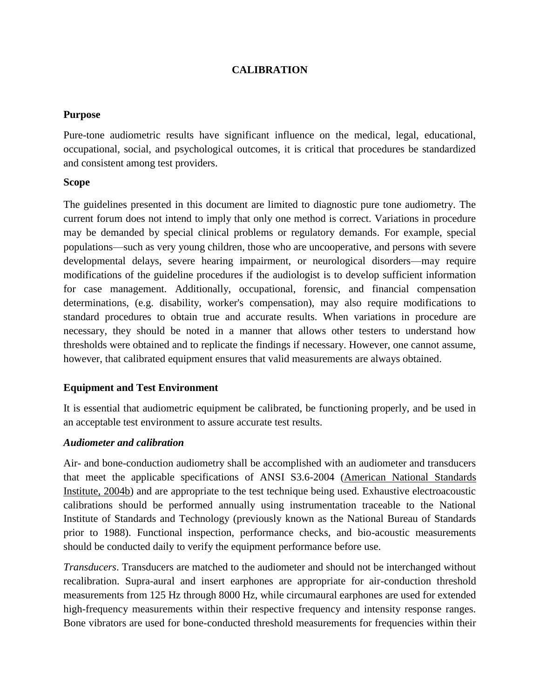# **CALIBRATION**

## **Purpose**

Pure-tone audiometric results have significant influence on the medical, legal, educational, occupational, social, and psychological outcomes, it is critical that procedures be standardized and consistent among test providers.

## **Scope**

The guidelines presented in this document are limited to diagnostic pure tone audiometry. The current forum does not intend to imply that only one method is correct. Variations in procedure may be demanded by special clinical problems or regulatory demands. For example, special populations—such as very young children, those who are uncooperative, and persons with severe developmental delays, severe hearing impairment, or neurological disorders—may require modifications of the guideline procedures if the audiologist is to develop sufficient information for case management. Additionally, occupational, forensic, and financial compensation determinations, (e.g. disability, worker's compensation), may also require modifications to standard procedures to obtain true and accurate results. When variations in procedure are necessary, they should be noted in a manner that allows other testers to understand how thresholds were obtained and to replicate the findings if necessary. However, one cannot assume, however, that calibrated equipment ensures that valid measurements are always obtained.

# **Equipment and Test Environment**

It is essential that audiometric equipment be calibrated, be functioning properly, and be used in an acceptable test environment to assure accurate test results.

## *Audiometer and calibration*

Air- and bone-conduction audiometry shall be accomplished with an audiometer and transducers that meet the applicable specifications of ANSI S3.6-2004 [\(American](http://www.asha.org/policy/GL2005-00014/#r4) National Standards [Institute,](http://www.asha.org/policy/GL2005-00014/#r4) 2004b) and are appropriate to the test technique being used. Exhaustive electroacoustic calibrations should be performed annually using instrumentation traceable to the National Institute of Standards and Technology (previously known as the National Bureau of Standards prior to 1988). Functional inspection, performance checks, and bio-acoustic measurements should be conducted daily to verify the equipment performance before use.

*Transducers*. Transducers are matched to the audiometer and should not be interchanged without recalibration. Supra-aural and insert earphones are appropriate for air-conduction threshold measurements from 125 Hz through 8000 Hz, while circumaural earphones are used for extended high-frequency measurements within their respective frequency and intensity response ranges. Bone vibrators are used for bone-conducted threshold measurements for frequencies within their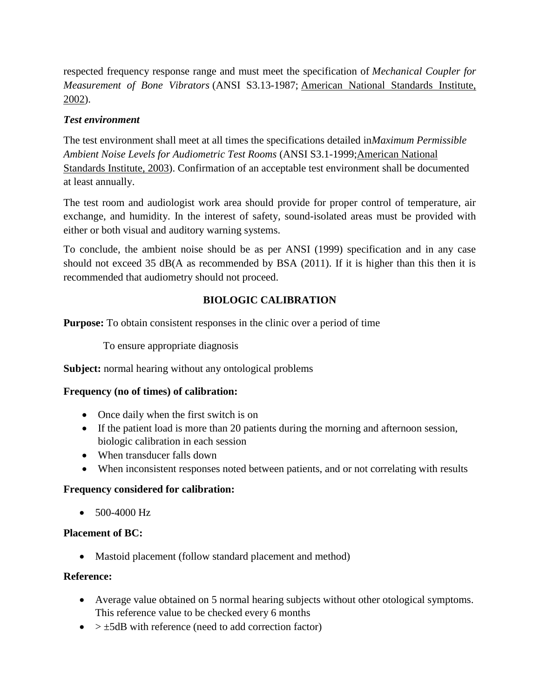respected frequency response range and must meet the specification of *Mechanical Coupler for Measurement of Bone Vibrators* (ANSI S3.13-1987; American National [Standards](http://www.asha.org/policy/GL2005-00014/#r1) Institute, [2002\)](http://www.asha.org/policy/GL2005-00014/#r1).

## *Test environment*

The test environment shall meet at all times the specifications detailed in*Maximum Permissible Ambient Noise Levels for Audiometric Test Rooms* (ANSI S3.1-1999[;American](http://www.asha.org/policy/GL2005-00014/#r2) National [Standards](http://www.asha.org/policy/GL2005-00014/#r2) Institute, 2003). Confirmation of an acceptable test environment shall be documented at least annually.

The test room and audiologist work area should provide for proper control of temperature, air exchange, and humidity. In the interest of safety, sound-isolated areas must be provided with either or both visual and auditory warning systems.

To conclude, the ambient noise should be as per ANSI (1999) specification and in any case should not exceed 35 dB(A as recommended by BSA (2011). If it is higher than this then it is recommended that audiometry should not proceed.

# **BIOLOGIC CALIBRATION**

**Purpose:** To obtain consistent responses in the clinic over a period of time

To ensure appropriate diagnosis

**Subject:** normal hearing without any ontological problems

## **Frequency (no of times) of calibration:**

- Once daily when the first switch is on
- If the patient load is more than 20 patients during the morning and afternoon session, biologic calibration in each session
- When transducer falls down
- When inconsistent responses noted between patients, and or not correlating with results

# **Frequency considered for calibration:**

 $\bullet$  500-4000 Hz

## **Placement of BC:**

• Mastoid placement (follow standard placement and method)

## **Reference:**

- Average value obtained on 5 normal hearing subjects without other otological symptoms. This reference value to be checked every 6 months
- $\bullet$  >  $\pm$ 5dB with reference (need to add correction factor)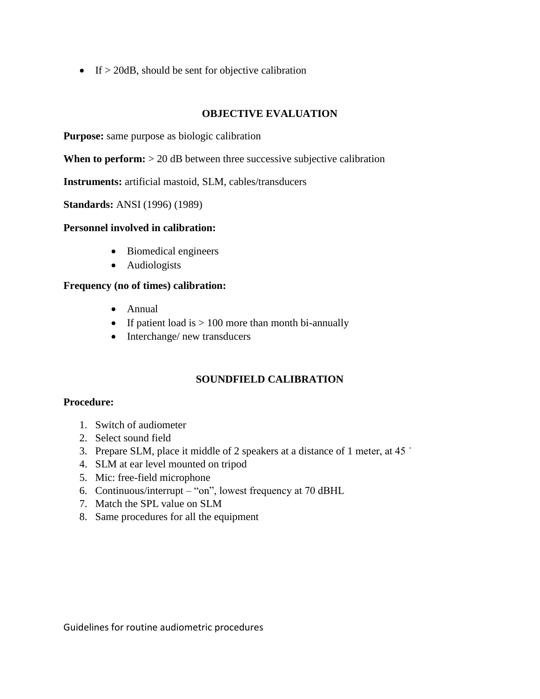$\bullet$  If  $> 20$ dB, should be sent for objective calibration

# **OBJECTIVE EVALUATION**

**Purpose:** same purpose as biologic calibration

**When to perform:**  $> 20$  dB between three successive subjective calibration

**Instruments:** artificial mastoid, SLM, cables/transducers

**Standards:** ANSI (1996) (1989)

## **Personnel involved in calibration:**

- Biomedical engineers
- Audiologists

# **Frequency (no of times) calibration:**

- Annual
- If patient load is  $> 100$  more than month bi-annually
- Interchange/ new transducers

# **SOUNDFIELD CALIBRATION**

## **Procedure:**

- 1. Switch of audiometer
- 2. Select sound field
- 3. Prepare SLM, place it middle of 2 speakers at a distance of 1 meter, at  $45$
- 4. SLM at ear level mounted on tripod
- 5. Mic: free-field microphone
- 6. Continuous/interrupt "on", lowest frequency at 70 dBHL
- 7. Match the SPL value on SLM
- 8. Same procedures for all the equipment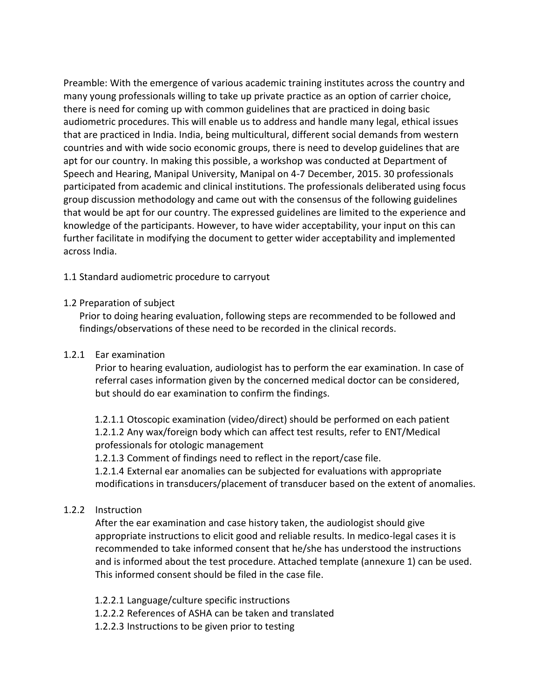Preamble: With the emergence of various academic training institutes across the country and many young professionals willing to take up private practice as an option of carrier choice, there is need for coming up with common guidelines that are practiced in doing basic audiometric procedures. This will enable us to address and handle many legal, ethical issues that are practiced in India. India, being multicultural, different social demands from western countries and with wide socio economic groups, there is need to develop guidelines that are apt for our country. In making this possible, a workshop was conducted at Department of Speech and Hearing, Manipal University, Manipal on 4-7 December, 2015. 30 professionals participated from academic and clinical institutions. The professionals deliberated using focus group discussion methodology and came out with the consensus of the following guidelines that would be apt for our country. The expressed guidelines are limited to the experience and knowledge of the participants. However, to have wider acceptability, your input on this can further facilitate in modifying the document to getter wider acceptability and implemented across India.

## 1.1 Standard audiometric procedure to carryout

## 1.2 Preparation of subject

Prior to doing hearing evaluation, following steps are recommended to be followed and findings/observations of these need to be recorded in the clinical records.

## 1.2.1 Ear examination

Prior to hearing evaluation, audiologist has to perform the ear examination. In case of referral cases information given by the concerned medical doctor can be considered, but should do ear examination to confirm the findings.

1.2.1.1 Otoscopic examination (video/direct) should be performed on each patient 1.2.1.2 Any wax/foreign body which can affect test results, refer to ENT/Medical professionals for otologic management

1.2.1.3 Comment of findings need to reflect in the report/case file.

1.2.1.4 External ear anomalies can be subjected for evaluations with appropriate modifications in transducers/placement of transducer based on the extent of anomalies.

## 1.2.2 Instruction

After the ear examination and case history taken, the audiologist should give appropriate instructions to elicit good and reliable results. In medico-legal cases it is recommended to take informed consent that he/she has understood the instructions and is informed about the test procedure. Attached template (annexure 1) can be used. This informed consent should be filed in the case file.

- 1.2.2.1 Language/culture specific instructions
- 1.2.2.2 References of ASHA can be taken and translated
- 1.2.2.3 Instructions to be given prior to testing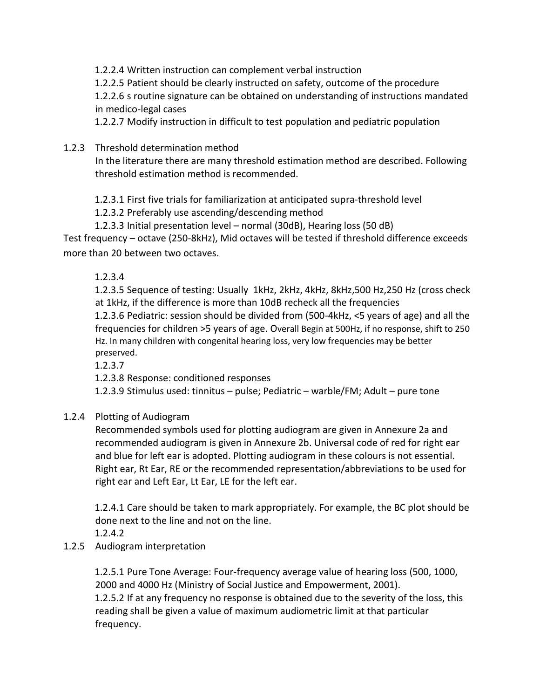1.2.2.4 Written instruction can complement verbal instruction

1.2.2.5 Patient should be clearly instructed on safety, outcome of the procedure

1.2.2.6 s routine signature can be obtained on understanding of instructions mandated in medico-legal cases

1.2.2.7 Modify instruction in difficult to test population and pediatric population

# 1.2.3 Threshold determination method

In the literature there are many threshold estimation method are described. Following threshold estimation method is recommended.

1.2.3.1 First five trials for familiarization at anticipated supra-threshold level

1.2.3.2 Preferably use ascending/descending method

1.2.3.3 Initial presentation level – normal (30dB), Hearing loss (50 dB)

Test frequency – octave (250-8kHz), Mid octaves will be tested if threshold difference exceeds more than 20 between two octaves.

1.2.3.4

1.2.3.5 Sequence of testing: Usually 1kHz, 2kHz, 4kHz, 8kHz,500 Hz,250 Hz (cross check at 1kHz, if the difference is more than 10dB recheck all the frequencies

1.2.3.6 Pediatric: session should be divided from (500-4kHz, <5 years of age) and all the frequencies for children >5 years of age. Overall Begin at 500Hz, if no response, shift to 250 Hz. In many children with congenital hearing loss, very low frequencies may be better preserved.

1.2.3.7

1.2.3.8 Response: conditioned responses

1.2.3.9 Stimulus used: tinnitus – pulse; Pediatric – warble/FM; Adult – pure tone

# 1.2.4 Plotting of Audiogram

Recommended symbols used for plotting audiogram are given in Annexure 2a and recommended audiogram is given in Annexure 2b. Universal code of red for right ear and blue for left ear is adopted. Plotting audiogram in these colours is not essential. Right ear, Rt Ear, RE or the recommended representation/abbreviations to be used for right ear and Left Ear, Lt Ear, LE for the left ear.

1.2.4.1 Care should be taken to mark appropriately. For example, the BC plot should be done next to the line and not on the line.

1.2.4.2

1.2.5 Audiogram interpretation

1.2.5.1 Pure Tone Average: Four-frequency average value of hearing loss (500, 1000, 2000 and 4000 Hz (Ministry of Social Justice and Empowerment, 2001). 1.2.5.2 If at any frequency no response is obtained due to the severity of the loss, this reading shall be given a value of maximum audiometric limit at that particular frequency.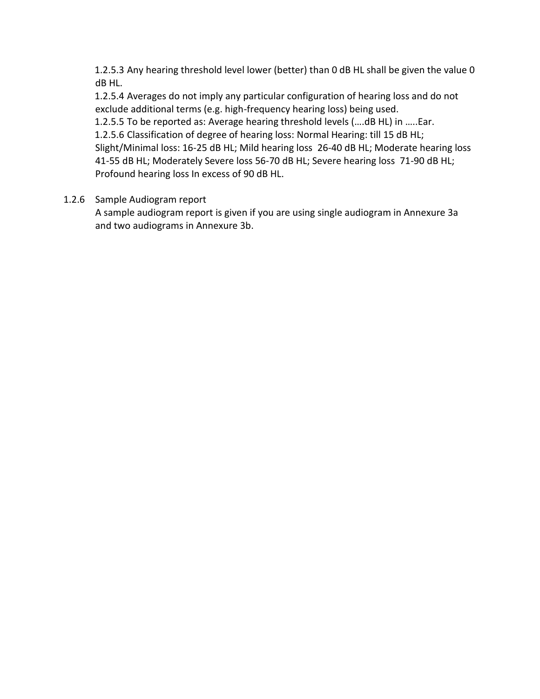1.2.5.3 Any hearing threshold level lower (better) than 0 dB HL shall be given the value 0 dB HL.

1.2.5.4 Averages do not imply any particular configuration of hearing loss and do not exclude additional terms (e.g. high-frequency hearing loss) being used.

1.2.5.5 To be reported as: Average hearing threshold levels (….dB HL) in …..Ear.

1.2.5.6 Classification of degree of hearing loss: Normal Hearing: till 15 dB HL; Slight/Minimal loss: 16-25 dB HL; Mild hearing loss 26-40 dB HL; Moderate hearing loss 41-55 dB HL; Moderately Severe loss 56-70 dB HL; Severe hearing loss 71-90 dB HL; Profound hearing loss In excess of 90 dB HL.

# 1.2.6 Sample Audiogram report

A sample audiogram report is given if you are using single audiogram in Annexure 3a and two audiograms in Annexure 3b.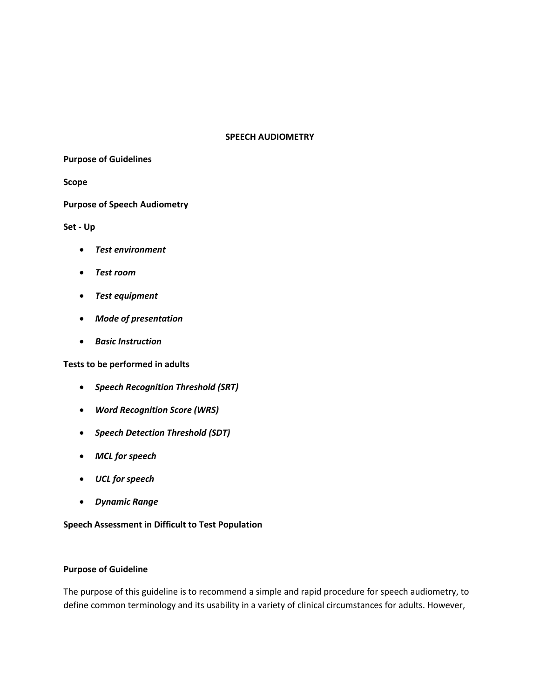#### **SPEECH AUDIOMETRY**

**Purpose of Guidelines**

**Scope**

**Purpose of Speech Audiometry**

**Set - Up** 

- *Test environment*
- *Test room*
- *Test equipment*
- *Mode of presentation*
- *Basic Instruction*

**Tests to be performed in adults** 

- *Speech Recognition Threshold (SRT)*
- *Word Recognition Score (WRS)*
- *Speech Detection Threshold (SDT)*
- *MCL for speech*
- *UCL for speech*
- *Dynamic Range*

**Speech Assessment in Difficult to Test Population**

#### **Purpose of Guideline**

The purpose of this guideline is to recommend a simple and rapid procedure for speech audiometry, to define common terminology and its usability in a variety of clinical circumstances for adults. However,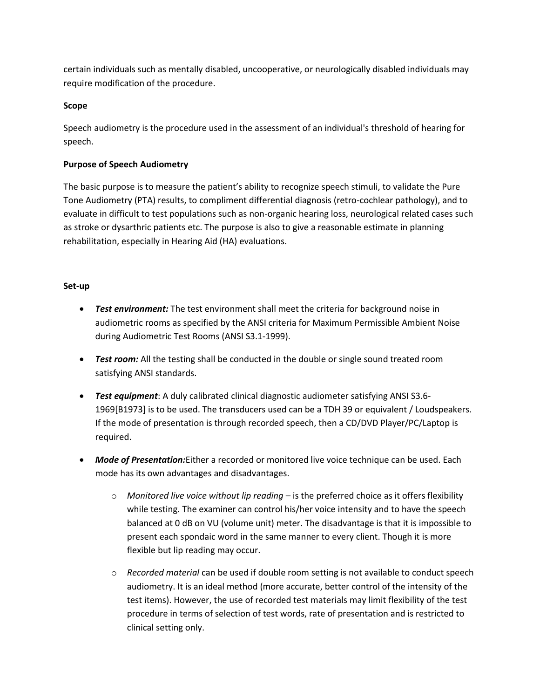certain individuals such as mentally disabled, uncooperative, or neurologically disabled individuals may require modification of the procedure.

#### **Scope**

Speech audiometry is the procedure used in the assessment of an individual's threshold of hearing for speech.

#### **Purpose of Speech Audiometry**

The basic purpose is to measure the patient's ability to recognize speech stimuli, to validate the Pure Tone Audiometry (PTA) results, to compliment differential diagnosis (retro-cochlear pathology), and to evaluate in difficult to test populations such as non-organic hearing loss, neurological related cases such as stroke or dysarthric patients etc. The purpose is also to give a reasonable estimate in planning rehabilitation, especially in Hearing Aid (HA) evaluations.

#### **Set-up**

- *Test environment:* The test environment shall meet the criteria for background noise in audiometric rooms as specified by the ANSI criteria for Maximum Permissible Ambient Noise during Audiometric Test Rooms (ANSI S3.1-1999).
- **Test room:** All the testing shall be conducted in the double or single sound treated room satisfying ANSI standards.
- *Test equipment*: A duly calibrated clinical diagnostic audiometer satisfying ANSI S3.6- 1969[B1973] is to be used. The transducers used can be a TDH 39 or equivalent / Loudspeakers. If the mode of presentation is through recorded speech, then a CD/DVD Player/PC/Laptop is required.
- *Mode of Presentation:*Either a recorded or monitored live voice technique can be used. Each mode has its own advantages and disadvantages.
	- o *Monitored live voice without lip reading* is the preferred choice as it offers flexibility while testing. The examiner can control his/her voice intensity and to have the speech balanced at 0 dB on VU (volume unit) meter. The disadvantage is that it is impossible to present each spondaic word in the same manner to every client. Though it is more flexible but lip reading may occur.
	- o *Recorded material* can be used if double room setting is not available to conduct speech audiometry. It is an ideal method (more accurate, better control of the intensity of the test items). However, the use of recorded test materials may limit flexibility of the test procedure in terms of selection of test words, rate of presentation and is restricted to clinical setting only.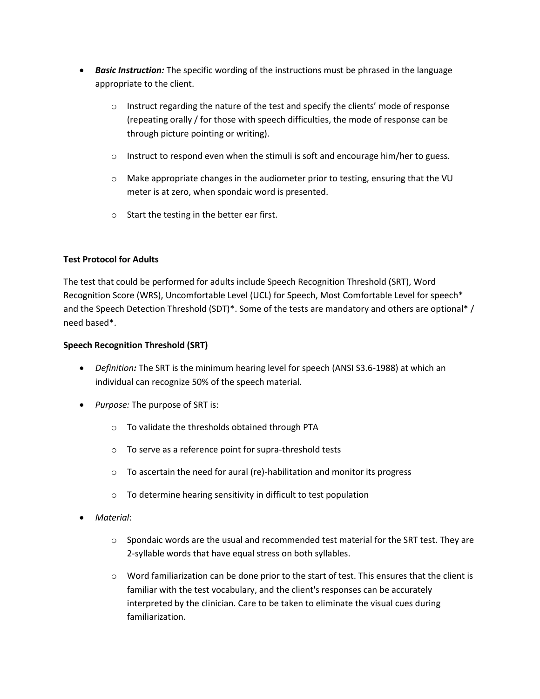- *Basic Instruction:* The specific wording of the instructions must be phrased in the language appropriate to the client.
	- $\circ$  Instruct regarding the nature of the test and specify the clients' mode of response (repeating orally / for those with speech difficulties, the mode of response can be through picture pointing or writing).
	- $\circ$  Instruct to respond even when the stimuli is soft and encourage him/her to guess.
	- $\circ$  Make appropriate changes in the audiometer prior to testing, ensuring that the VU meter is at zero, when spondaic word is presented.
	- o Start the testing in the better ear first.

## **Test Protocol for Adults**

The test that could be performed for adults include Speech Recognition Threshold (SRT), Word Recognition Score (WRS), Uncomfortable Level (UCL) for Speech, Most Comfortable Level for speech\* and the Speech Detection Threshold (SDT)\*. Some of the tests are mandatory and others are optional\* / need based\*.

#### **Speech Recognition Threshold (SRT)**

- *Definition:* The SRT is the minimum hearing level for speech (ANSI S3.6-1988) at which an individual can recognize 50% of the speech material.
- *Purpose:* The purpose of SRT is:
	- o To validate the thresholds obtained through PTA
	- o To serve as a reference point for supra-threshold tests
	- o To ascertain the need for aural (re)-habilitation and monitor its progress
	- o To determine hearing sensitivity in difficult to test population
- *Material*:
	- $\circ$  Spondaic words are the usual and recommended test material for the SRT test. They are 2-syllable words that have equal stress on both syllables.
	- $\circ$  Word familiarization can be done prior to the start of test. This ensures that the client is familiar with the test vocabulary, and the client's responses can be accurately interpreted by the clinician. Care to be taken to eliminate the visual cues during familiarization.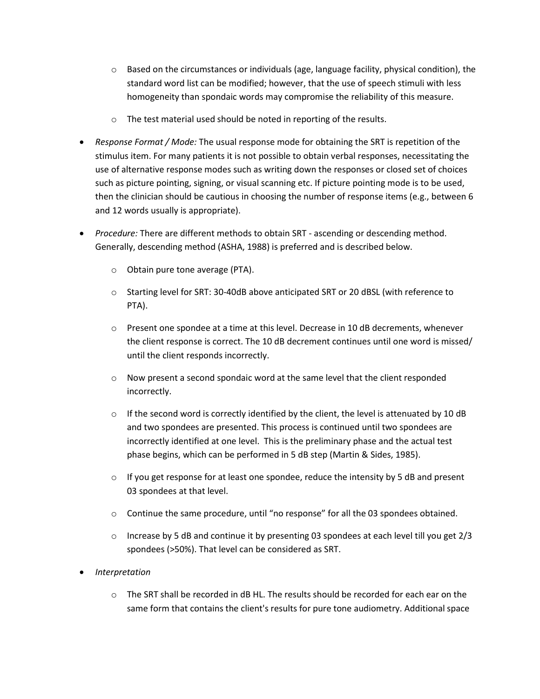- $\circ$  Based on the circumstances or individuals (age, language facility, physical condition), the standard word list can be modified; however, that the use of speech stimuli with less homogeneity than spondaic words may compromise the reliability of this measure.
- o The test material used should be noted in reporting of the results.
- *Response Format / Mode:* The usual response mode for obtaining the SRT is repetition of the stimulus item. For many patients it is not possible to obtain verbal responses, necessitating the use of alternative response modes such as writing down the responses or closed set of choices such as picture pointing, signing, or visual scanning etc. If picture pointing mode is to be used, then the clinician should be cautious in choosing the number of response items (e.g., between 6 and 12 words usually is appropriate).
- *Procedure:* There are different methods to obtain SRT ascending or descending method. Generally, descending method (ASHA, 1988) is preferred and is described below.
	- o Obtain pure tone average (PTA).
	- o Starting level for SRT: 30-40dB above anticipated SRT or 20 dBSL (with reference to PTA).
	- $\circ$  Present one spondee at a time at this level. Decrease in 10 dB decrements, whenever the client response is correct. The 10 dB decrement continues until one word is missed/ until the client responds incorrectly.
	- $\circ$  Now present a second spondaic word at the same level that the client responded incorrectly.
	- $\circ$  If the second word is correctly identified by the client, the level is attenuated by 10 dB and two spondees are presented. This process is continued until two spondees are incorrectly identified at one level. This is the preliminary phase and the actual test phase begins, which can be performed in 5 dB step (Martin & Sides, 1985).
	- $\circ$  If you get response for at least one spondee, reduce the intensity by 5 dB and present 03 spondees at that level.
	- $\circ$  Continue the same procedure, until "no response" for all the 03 spondees obtained.
	- $\circ$  Increase by 5 dB and continue it by presenting 03 spondees at each level till you get 2/3 spondees (>50%). That level can be considered as SRT.
- *Interpretation*
	- o The SRT shall be recorded in dB HL. The results should be recorded for each ear on the same form that contains the client's results for pure tone audiometry. Additional space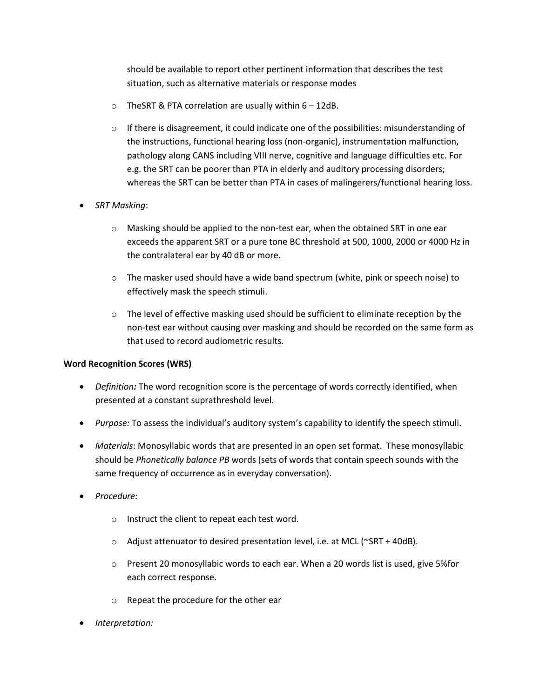should be available to report other pertinent information that describes the test situation, such as alternative materials or response modes

- $\circ$  TheSRT & PTA correlation are usually within  $6 12$ dB.
- $\circ$  If there is disagreement, it could indicate one of the possibilities: misunderstanding of the instructions, functional hearing loss (non-organic), instrumentation malfunction, pathology along CANS including VIII nerve, cognitive and language difficulties etc. For e.g. the SRT can be poorer than PTA in elderly and auditory processing disorders; whereas the SRT can be better than PTA in cases of malingerers/functional hearing loss.
- *SRT Masking*:
	- $\circ$  Masking should be applied to the non-test ear, when the obtained SRT in one ear exceeds the apparent SRT or a pure tone BC threshold at 500, 1000, 2000 or 4000 Hz in the contralateral ear by 40 dB or more.
	- o The masker used should have a wide band spectrum (white, pink or speech noise) to effectively mask the speech stimuli.
	- $\circ$  The level of effective masking used should be sufficient to eliminate reception by the non-test ear without causing over masking and should be recorded on the same form as that used to record audiometric results.

#### **Word Recognition Scores (WRS)**

- *Definition:* The word recognition score is the percentage of words correctly identified, when presented at a constant suprathreshold level.
- *Purpose:* To assess the individual's auditory system's capability to identify the speech stimuli.
- *Materials*: Monosyllabic words that are presented in an open set format. These monosyllabic should be *Phonetically balance PB* words (sets of words that contain speech sounds with the same frequency of occurrence as in everyday conversation).
- *Procedure:*
	- o Instruct the client to repeat each test word.
	- $\circ$  Adjust attenuator to desired presentation level, i.e. at MCL ( $\sim$ SRT + 40dB).
	- $\circ$  Present 20 monosyllabic words to each ear. When a 20 words list is used, give 5% for each correct response.
	- o Repeat the procedure for the other ear
- *Interpretation:*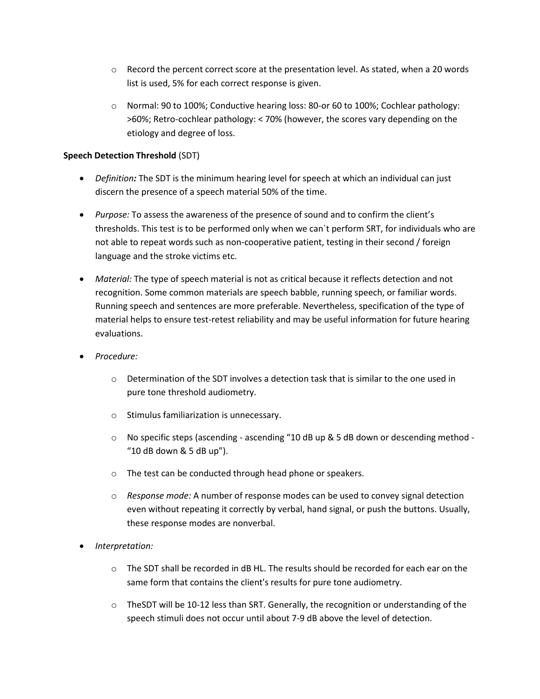- $\circ$  Record the percent correct score at the presentation level. As stated, when a 20 words list is used, 5% for each correct response is given.
- o Normal: 90 to 100%; Conductive hearing loss: 80-or 60 to 100%; Cochlear pathology: >60%; Retro-cochlear pathology: < 70% (however, the scores vary depending on the etiology and degree of loss.

#### **Speech Detection Threshold** (SDT)

- *Definition:* The SDT is the minimum hearing level for speech at which an individual can just discern the presence of a speech material 50% of the time.
- *Purpose:* To assess the awareness of the presence of sound and to confirm the client's thresholds. This test is to be performed only when we can`t perform SRT, for individuals who are not able to repeat words such as non-cooperative patient, testing in their second / foreign language and the stroke victims etc.
- *Material:* The type of speech material is not as critical because it reflects detection and not recognition. Some common materials are speech babble, running speech, or familiar words. Running speech and sentences are more preferable. Nevertheless, specification of the type of material helps to ensure test-retest reliability and may be useful information for future hearing evaluations.
- *Procedure:* 
	- $\circ$  Determination of the SDT involves a detection task that is similar to the one used in pure tone threshold audiometry.
	- o Stimulus familiarization is unnecessary.
	- o No specific steps (ascending ascending "10 dB up & 5 dB down or descending method "10 dB down & 5 dB up").
	- o The test can be conducted through head phone or speakers.
	- o *Response mode:* A number of response modes can be used to convey signal detection even without repeating it correctly by verbal, hand signal, or push the buttons. Usually, these response modes are nonverbal.
- *Interpretation:* 
	- $\circ$  The SDT shall be recorded in dB HL. The results should be recorded for each ear on the same form that contains the client's results for pure tone audiometry.
	- $\circ$  TheSDT will be 10-12 less than SRT. Generally, the recognition or understanding of the speech stimuli does not occur until about 7-9 dB above the level of detection.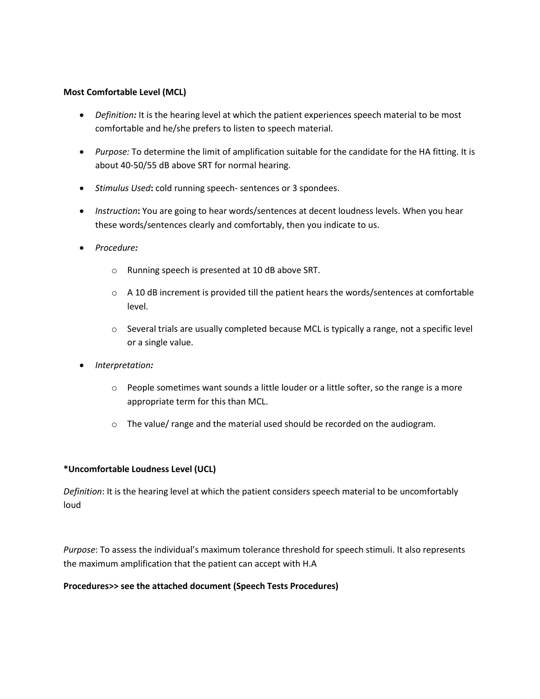#### **Most Comfortable Level (MCL)**

- Definition: It is the hearing level at which the patient experiences speech material to be most comfortable and he/she prefers to listen to speech material.
- *Purpose:* To determine the limit of amplification suitable for the candidate for the HA fitting. It is about 40-50/55 dB above SRT for normal hearing.
- *Stimulus Used***:** cold running speech- sentences or 3 spondees.
- *Instruction***:** You are going to hear words/sentences at decent loudness levels. When you hear these words/sentences clearly and comfortably, then you indicate to us.
- *Procedure:*
	- o Running speech is presented at 10 dB above SRT.
	- $\circ$  A 10 dB increment is provided till the patient hears the words/sentences at comfortable level.
	- $\circ$  Several trials are usually completed because MCL is typically a range, not a specific level or a single value.
- *Interpretation:*
	- $\circ$  People sometimes want sounds a little louder or a little softer, so the range is a more appropriate term for this than MCL.
	- $\circ$  The value/ range and the material used should be recorded on the audiogram.

#### **\*Uncomfortable Loudness Level (UCL)**

*Definition*: It is the hearing level at which the patient considers speech material to be uncomfortably loud

*Purpose*: To assess the individual's maximum tolerance threshold for speech stimuli. It also represents the maximum amplification that the patient can accept with H.A

#### **Procedures>> see the attached document (Speech Tests Procedures)**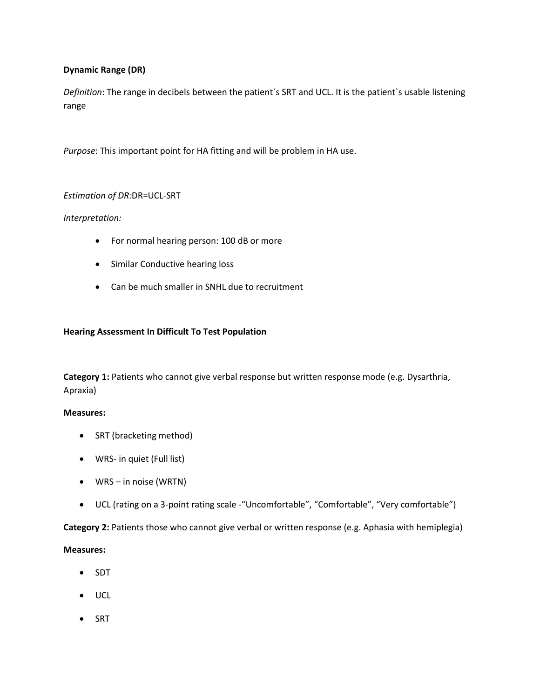#### **Dynamic Range (DR)**

*Definition*: The range in decibels between the patient`s SRT and UCL. It is the patient`s usable listening range

*Purpose*: This important point for HA fitting and will be problem in HA use.

#### *Estimation of DR:*DR=UCL-SRT

*Interpretation:* 

- For normal hearing person: 100 dB or more
- Similar Conductive hearing loss
- Can be much smaller in SNHL due to recruitment

#### **Hearing Assessment In Difficult To Test Population**

**Category 1:** Patients who cannot give verbal response but written response mode (e.g. Dysarthria, Apraxia)

#### **Measures:**

- SRT (bracketing method)
- WRS- in quiet (Full list)
- WRS in noise (WRTN)
- UCL (rating on a 3-point rating scale -"Uncomfortable", "Comfortable", "Very comfortable")

**Category 2:** Patients those who cannot give verbal or written response (e.g. Aphasia with hemiplegia)

#### **Measures:**

- SDT
- UCL
- $\bullet$  SRT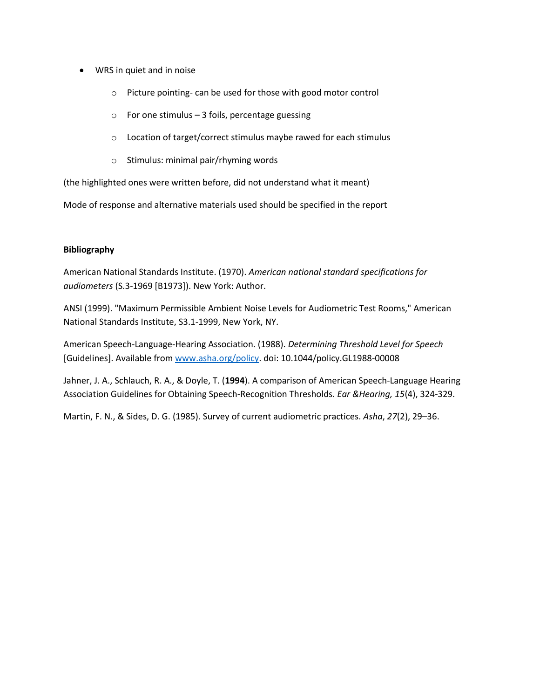- WRS in quiet and in noise
	- o Picture pointing- can be used for those with good motor control
	- $\circ$  For one stimulus 3 foils, percentage guessing
	- o Location of target/correct stimulus maybe rawed for each stimulus
	- o Stimulus: minimal pair/rhyming words

(the highlighted ones were written before, did not understand what it meant)

Mode of response and alternative materials used should be specified in the report

#### **Bibliography**

American National Standards Institute. (1970). *American national standard specifications for audiometers* (S.3-1969 [B1973]). New York: Author.

ANSI (1999). "Maximum Permissible Ambient Noise Levels for Audiometric Test Rooms," American National Standards Institute, S3.1-1999, New York, NY.

American Speech-Language-Hearing Association. (1988). *Determining Threshold Level for Speech*  [Guidelines]. Available fro[m www.asha.org/policy.](http://www.asha.org/policy) doi: 10.1044/policy.GL1988-00008

Jahner, J. A., Schlauch, R. A., & Doyle, T. (**1994**). A comparison of American Speech-Language Hearing Association Guidelines for Obtaining Speech-Recognition Thresholds. *Ear &Hearing, 15*(4), 324-329.

Martin, F. N., & Sides, D. G. (1985). Survey of current audiometric practices. *Asha*, *27*(2), 29–36.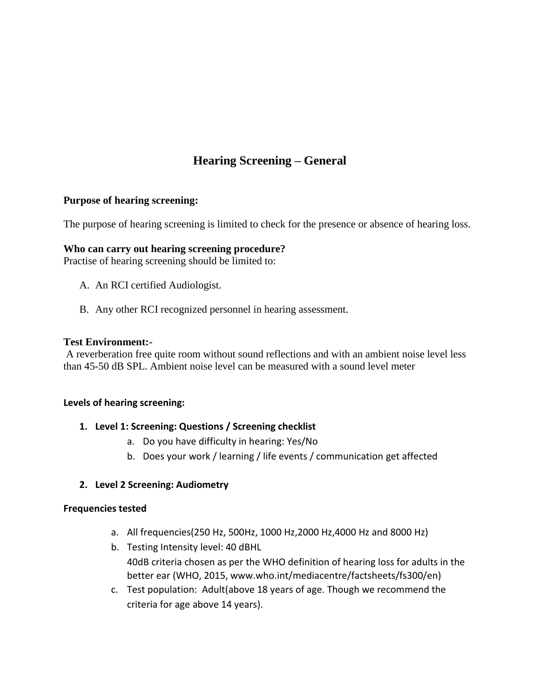# **Hearing Screening – General**

## **Purpose of hearing screening:**

The purpose of hearing screening is limited to check for the presence or absence of hearing loss.

## **Who can carry out hearing screening procedure?**

Practise of hearing screening should be limited to:

- A. An RCI certified Audiologist.
- B. Any other RCI recognized personnel in hearing assessment.

## **Test Environment:-**

A reverberation free quite room without sound reflections and with an ambient noise level less than 45-50 dB SPL. Ambient noise level can be measured with a sound level meter

## **Levels of hearing screening:**

## **1. Level 1: Screening: Questions / Screening checklist**

- a. Do you have difficulty in hearing: Yes/No
- b. Does your work / learning / life events / communication get affected

# **2. Level 2 Screening: Audiometry**

## **Frequencies tested**

- a. All frequencies(250 Hz, 500Hz, 1000 Hz,2000 Hz,4000 Hz and 8000 Hz)
- b. Testing Intensity level: 40 dBHL 40dB criteria chosen as per the WHO definition of hearing loss for adults in the better ear (WHO, 2015, www.who.int/mediacentre/factsheets/fs300/en)
- c. Test population: Adult(above 18 years of age. Though we recommend the criteria for age above 14 years).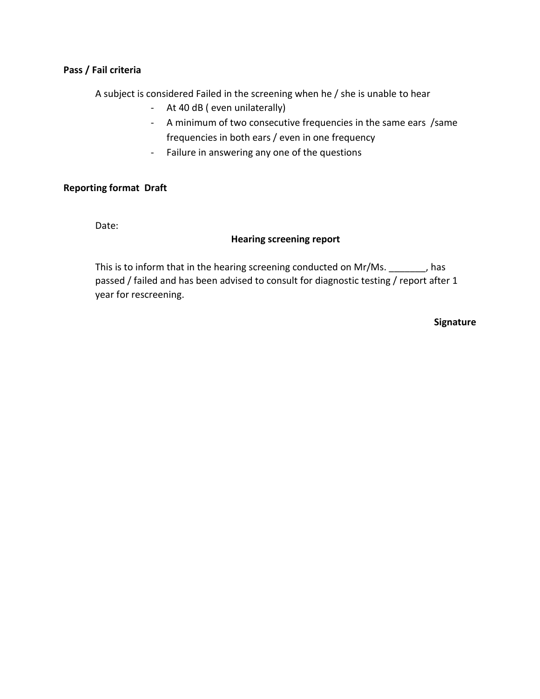## **Pass / Fail criteria**

A subject is considered Failed in the screening when he / she is unable to hear

- At 40 dB ( even unilaterally)
- A minimum of two consecutive frequencies in the same ears /same frequencies in both ears / even in one frequency
- Failure in answering any one of the questions

## **Reporting format Draft**

Date:

## **Hearing screening report**

This is to inform that in the hearing screening conducted on Mr/Ms.  $\qquad \qquad$ , has passed / failed and has been advised to consult for diagnostic testing / report after 1 year for rescreening.

**Signature**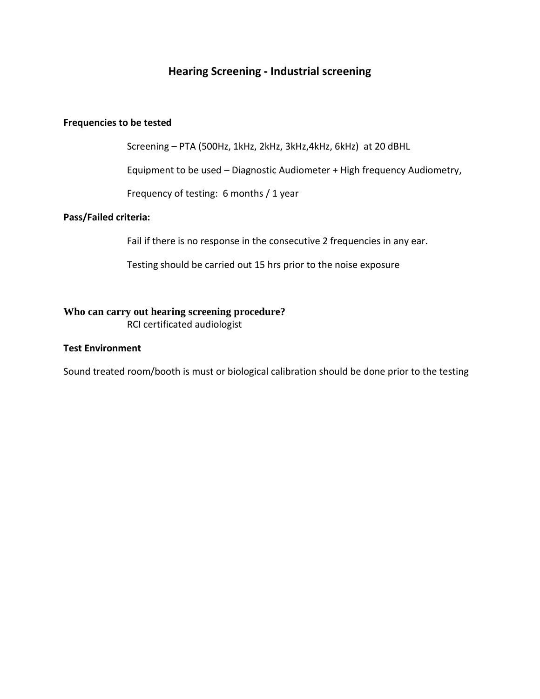# **Hearing Screening - Industrial screening**

#### **Frequencies to be tested**

Screening – PTA (500Hz, 1kHz, 2kHz, 3kHz,4kHz, 6kHz) at 20 dBHL

Equipment to be used – Diagnostic Audiometer + High frequency Audiometry,

Frequency of testing: 6 months / 1 year

#### **Pass/Failed criteria:**

Fail if there is no response in the consecutive 2 frequencies in any ear.

Testing should be carried out 15 hrs prior to the noise exposure

# **Who can carry out hearing screening procedure?**

RCI certificated audiologist

#### **Test Environment**

Sound treated room/booth is must or biological calibration should be done prior to the testing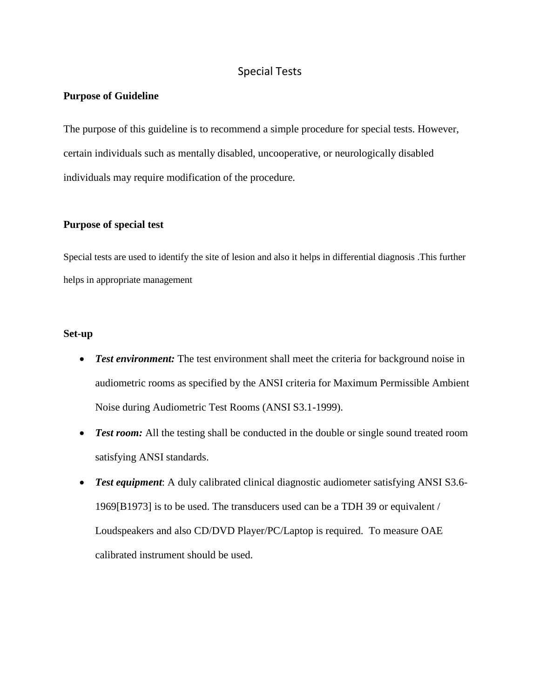# Special Tests

#### **Purpose of Guideline**

The purpose of this guideline is to recommend a simple procedure for special tests. However, certain individuals such as mentally disabled, uncooperative, or neurologically disabled individuals may require modification of the procedure.

#### **Purpose of special test**

Special tests are used to identify the site of lesion and also it helps in differential diagnosis .This further helps in appropriate management

#### **Set-up**

- Test environment: The test environment shall meet the criteria for background noise in audiometric rooms as specified by the ANSI criteria for Maximum Permissible Ambient Noise during Audiometric Test Rooms (ANSI S3.1-1999).
- **Test room:** All the testing shall be conducted in the double or single sound treated room satisfying ANSI standards.
- *Test equipment*: A duly calibrated clinical diagnostic audiometer satisfying ANSI S3.6- 1969[B1973] is to be used. The transducers used can be a TDH 39 or equivalent / Loudspeakers and also CD/DVD Player/PC/Laptop is required. To measure OAE calibrated instrument should be used.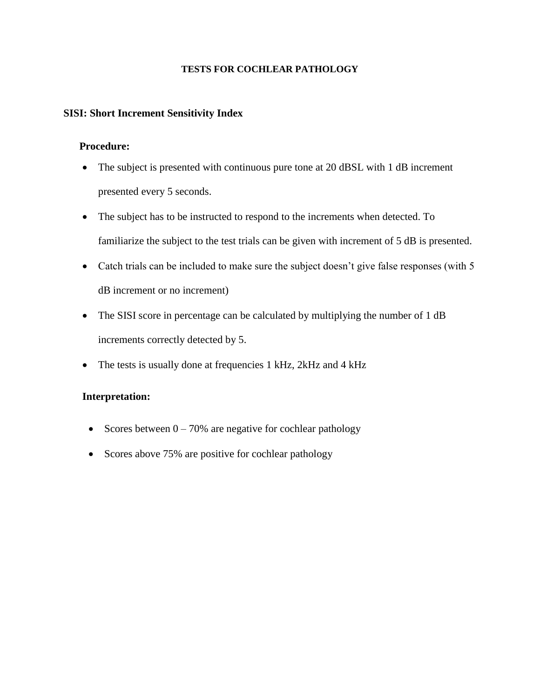#### **TESTS FOR COCHLEAR PATHOLOGY**

### **SISI: Short Increment Sensitivity Index**

#### **Procedure:**

- The subject is presented with continuous pure tone at 20 dBSL with 1 dB increment presented every 5 seconds.
- The subject has to be instructed to respond to the increments when detected. To familiarize the subject to the test trials can be given with increment of 5 dB is presented.
- Catch trials can be included to make sure the subject doesn't give false responses (with 5 dB increment or no increment)
- The SISI score in percentage can be calculated by multiplying the number of 1 dB increments correctly detected by 5.
- The tests is usually done at frequencies 1 kHz, 2kHz and 4 kHz

## **Interpretation:**

- Scores between  $0 70\%$  are negative for cochlear pathology
- Scores above 75% are positive for cochlear pathology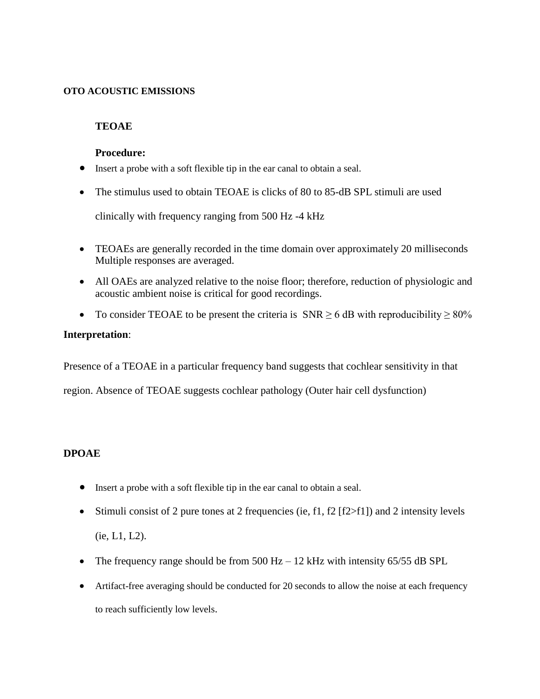#### **OTO ACOUSTIC EMISSIONS**

## **TEOAE**

## **Procedure:**

- Insert a probe with a soft flexible tip in the ear canal to obtain a seal.
- The stimulus used to obtain TEOAE is clicks of 80 to 85-dB SPL stimuli are used

clinically with frequency ranging from 500 Hz -4 kHz

- TEOAEs are generally recorded in the time domain over approximately 20 milliseconds Multiple responses are averaged.
- All OAEs are analyzed relative to the noise floor; therefore, reduction of physiologic and acoustic ambient noise is critical for good recordings.
- To consider TEOAE to be present the criteria is  $SNR \ge 6$  dB with reproducibility  $\ge 80\%$

## **Interpretation**:

Presence of a TEOAE in a particular frequency band suggests that cochlear sensitivity in that

region. Absence of TEOAE suggests cochlear pathology (Outer hair cell dysfunction)

## **DPOAE**

- Insert a probe with a soft flexible tip in the ear canal to obtain a seal.
- Stimuli consist of 2 pure tones at 2 frequencies (ie, f1, f2  $[f2>f1]$ ) and 2 intensity levels (ie, L1, L2).
- The frequency range should be from  $500$  Hz  $12$  kHz with intensity  $65/55$  dB SPL
- Artifact-free averaging should be conducted for 20 seconds to allow the noise at each frequency to reach sufficiently low levels.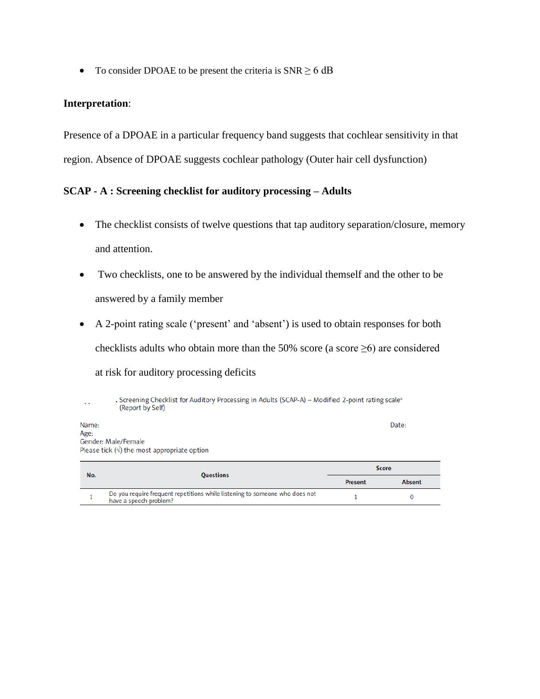• To consider DPOAE to be present the criteria is  $SNR \ge 6$  dB

## **Interpretation**:

Presence of a DPOAE in a particular frequency band suggests that cochlear sensitivity in that region. Absence of DPOAE suggests cochlear pathology (Outer hair cell dysfunction)

## **SCAP - A : Screening checklist for auditory processing – Adults**

- The checklist consists of twelve questions that tap auditory separation/closure, memory and attention.
- Two checklists, one to be answered by the individual themself and the other to be answered by a family member
- A 2-point rating scale ('present' and 'absent') is used to obtain responses for both checklists adults who obtain more than the 50% score (a score  $\geq$ 6) are considered at risk for auditory processing deficits

. Screening Checklist for Auditory Processing in Adults (SCAP-A) - Modified 2-point rating scale<sup>a</sup> (Report by Self) Date: Name: Age: Gender: Male/Female Please tick  $(\sqrt{})$  the most appropriate option **Score** Questions  $N<sub>0</sub>$ 

| . | ------------                                                                                          | Present | Absent |
|---|-------------------------------------------------------------------------------------------------------|---------|--------|
|   | Do you require frequent repetitions while listening to someone who does not<br>have a speech problem? |         |        |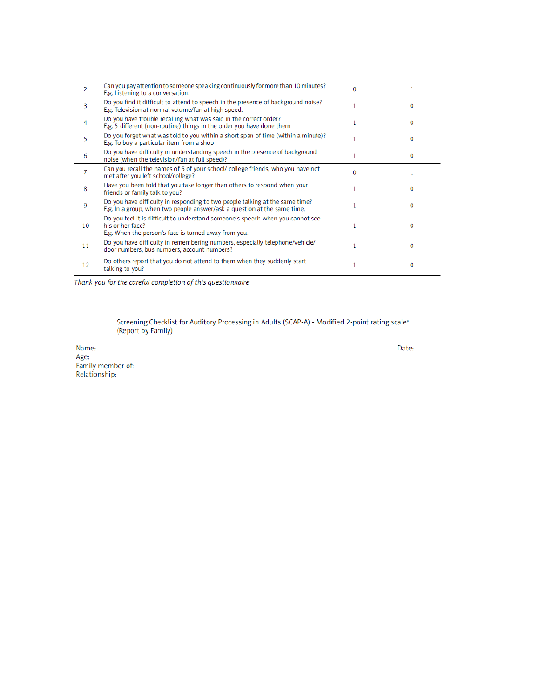| 2  | Can you pay attention to someone speaking continuously for more than 10 minutes?<br>E.g. Listening to a conversation.                                      |   |   |
|----|------------------------------------------------------------------------------------------------------------------------------------------------------------|---|---|
| 3  | Do you find it difficult to attend to speech in the presence of background noise?<br>E.g. Television at normal volume/fan at high speed.                   |   | o |
| 4  | Do you have trouble recalling what was said in the correct order?<br>E.g. 5 different (non-routine) things in the order you have done them                 |   |   |
| 5  | Do you forget what was told to you within a short span of time (within a minute)?<br>E.g. To buy a particular item from a shop                             |   | o |
| 6  | Do you have difficulty in understanding speech in the presence of background<br>noise (when the television/fan at full speed)?                             |   |   |
| 7  | Can you recall the names of 5 of your school/ college friends, who you have not<br>met after you left school/college?                                      | O |   |
| 8  | Have you been told that you take longer than others to respond when your<br>friends or family talk to you?                                                 |   |   |
| 9  | Do you have difficulty in responding to two people talking at the same time?<br>E.g. In a group, when two people answer/ask a question at the same time.   |   | o |
| 10 | Do you feel it is difficult to understand someone's speech when you cannot see<br>his or her face?<br>E.g. When the person's face is turned away from you. |   | o |
| 11 | Do you have difficulty in remembering numbers, especially telephone/vehicle/<br>door numbers, bus numbers, account numbers?                                |   | O |
| 12 | Do others report that you do not attend to them when they suddenly start<br>talking to you?                                                                |   | o |
|    | Thank you for the careful completion of this questionnaire                                                                                                 |   |   |

Screening Checklist for Auditory Processing in Adults (SCAP-A) - Modified 2-point rating scale<sup>a</sup> (Report by Family)

Name: Age:<br>Family member of:<br>Relationship: Date: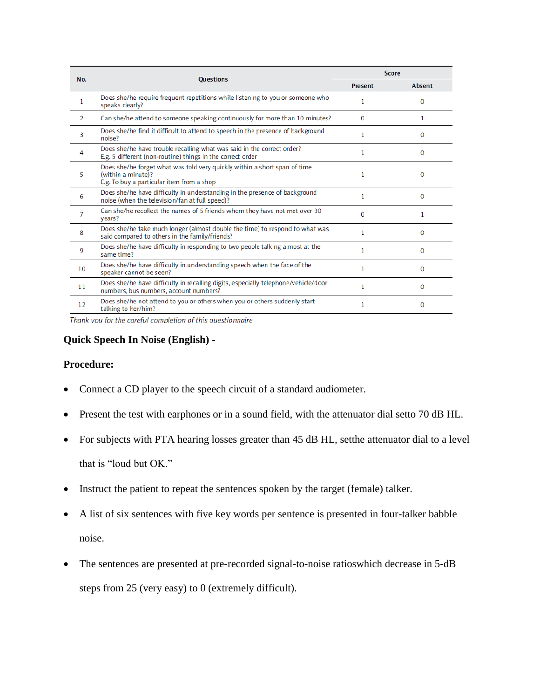| No.            | <b>Ouestions</b>                                                                                                                             | <b>Score</b> |          |
|----------------|----------------------------------------------------------------------------------------------------------------------------------------------|--------------|----------|
|                |                                                                                                                                              | Present      | Absent   |
| $\mathbf{1}$   | Does she/he require frequent repetitions while listening to you or someone who<br>speaks clearly?                                            | 1            | $\Omega$ |
| $\overline{2}$ | Can she/he attend to someone speaking continuously for more than 10 minutes?                                                                 | 0            | 1        |
| 3              | Does she/he find it difficult to attend to speech in the presence of background<br>noise?                                                    | 1            | 0        |
| 4              | Does she/he have trouble recalling what was said in the correct order?<br>E.g. 5 different (non-routine) things in the correct order         | 1            | O        |
| 5              | Does she/he forget what was told very quickly within a short span of time<br>(within a minute)?<br>E.g. To buy a particular item from a shop | 1            | O        |
| 6              | Does she/he have difficulty in understanding in the presence of background<br>noise (when the television/fan at full speed)?                 | 1            | 0        |
| 7              | Can she/he recollect the names of 5 friends whom they have not met over 30<br>years?                                                         | $\Omega$     | 1        |
| 8              | Does she/he take much longer (almost double the time) to respond to what was<br>said compared to others in the family/friends?               | 1            | O        |
| 9              | Does she/he have difficulty in responding to two people talking almost at the<br>same time?                                                  | 1            | 0        |
| 10             | Does she/he have difficulty in understanding speech when the face of the<br>speaker cannot be seen?                                          | $\mathbf{1}$ | $\Omega$ |
| 11             | Does she/he have difficulty in recalling digits, especially telephone/vehicle/door<br>numbers, bus numbers, account numbers?                 | 1            | O        |
| 12             | Does she/he not attend to you or others when you or others suddenly start<br>talking to her/him?                                             | 1            | 0        |

Thank you for the careful completion of this questionnaire

## **Quick Speech In Noise (English) -**

### **Procedure:**

- Connect a CD player to the speech circuit of a standard audiometer.
- Present the test with earphones or in a sound field, with the attenuator dial setto 70 dB HL.
- For subjects with PTA hearing losses greater than 45 dB HL, setthe attenuator dial to a level that is "loud but OK."
- Instruct the patient to repeat the sentences spoken by the target (female) talker.
- A list of six sentences with five key words per sentence is presented in four-talker babble noise.
- The sentences are presented at pre-recorded signal-to-noise ratioswhich decrease in 5-dB steps from 25 (very easy) to 0 (extremely difficult).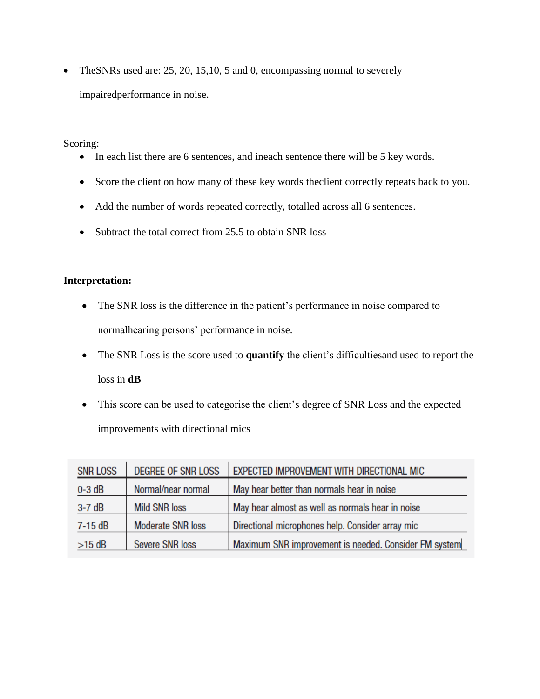• TheSNRs used are: 25, 20, 15, 10, 5 and 0, encompassing normal to severely impairedperformance in noise.

Scoring:

- In each list there are 6 sentences, and ineach sentence there will be 5 key words.
- Score the client on how many of these key words theclient correctly repeats back to you.
- Add the number of words repeated correctly, totalled across all 6 sentences.
- Subtract the total correct from 25.5 to obtain SNR loss

# **Interpretation:**

- The SNR loss is the difference in the patient's performance in noise compared to normalhearing persons' performance in noise.
- The SNR Loss is the score used to **quantify** the client's difficultiesand used to report the loss in **dB**
- This score can be used to categorise the client's degree of SNR Loss and the expected improvements with directional mics

| <b>SNR LOSS</b> | <b>DEGREE OF SNR LOSS</b> | <b>EXPECTED IMPROVEMENT WITH DIRECTIONAL MIC</b>      |
|-----------------|---------------------------|-------------------------------------------------------|
| $0-3$ dB        | Normal/near normal        | May hear better than normals hear in noise            |
| $3-7$ dB        | <b>Mild SNR loss</b>      | May hear almost as well as normals hear in noise      |
| $7-15$ dB       | <b>Moderate SNR loss</b>  | Directional microphones help. Consider array mic      |
| $>15$ dB        | <b>Severe SNR loss</b>    | Maximum SNR improvement is needed. Consider FM system |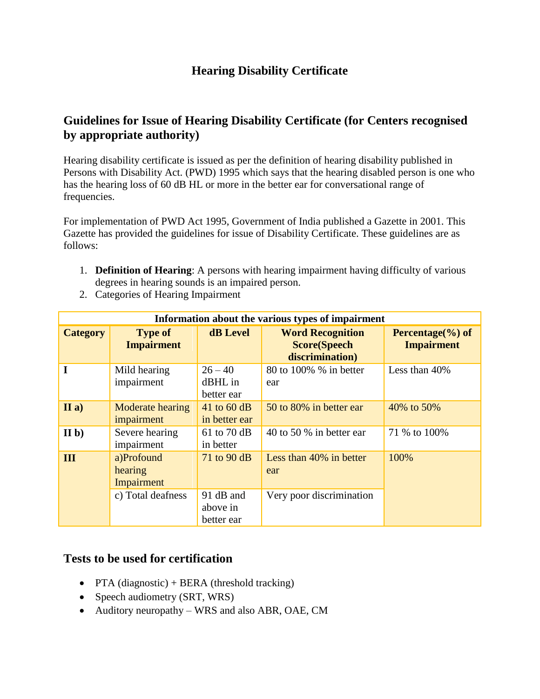# **Hearing Disability Certificate**

# **Guidelines for Issue of Hearing Disability Certificate (for Centers recognised by appropriate authority)**

Hearing disability certificate is issued as per the definition of hearing disability published in Persons with Disability Act. (PWD) 1995 which says that the hearing disabled person is one who has the hearing loss of 60 dB HL or more in the better ear for conversational range of frequencies.

For implementation of PWD Act 1995, Government of India published a Gazette in 2001. This Gazette has provided the guidelines for issue of Disability Certificate. These guidelines are as follows:

- 1. **Definition of Hearing**: A persons with hearing impairment having difficulty of various degrees in hearing sounds is an impaired person.
- 2. Categories of Hearing Impairment

| Information about the various types of impairment |                                     |                                     |                                                                   |                                            |
|---------------------------------------------------|-------------------------------------|-------------------------------------|-------------------------------------------------------------------|--------------------------------------------|
| <b>Category</b>                                   | <b>Type of</b><br><b>Impairment</b> | <b>dB</b> Level                     | <b>Word Recognition</b><br><b>Score(Speech</b><br>discrimination) | Percentage $(\% )$ of<br><b>Impairment</b> |
| $\mathbf I$                                       | Mild hearing<br>impairment          | $26 - 40$<br>dBHL in<br>better ear  | 80 to 100% % in better<br>ear                                     | Less than 40%                              |
| II a)                                             | Moderate hearing<br>impairment      | 41 to $60$ dB<br>in better ear      | 50 to 80% in better ear                                           | 40% to 50%                                 |
| II <sub>b</sub>                                   | Severe hearing<br>impairment        | 61 to 70 dB<br>in better            | 40 to 50 % in better ear                                          | 71 % to 100%                               |
| Ш                                                 | a)Profound<br>hearing<br>Impairment | 71 to 90 dB                         | Less than 40% in better<br>ear                                    | 100%                                       |
|                                                   | c) Total deafness                   | 91 dB and<br>above in<br>better ear | Very poor discrimination                                          |                                            |

# **Tests to be used for certification**

- PTA (diagnostic) + BERA (threshold tracking)
- Speech audiometry (SRT, WRS)
- Auditory neuropathy WRS and also ABR, OAE, CM